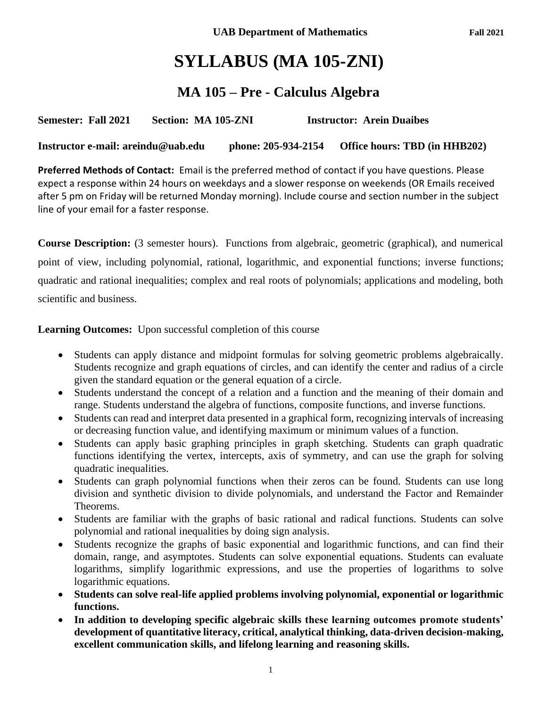# **SYLLABUS (MA 105-ZNI)**

## **MA 105 – Pre - Calculus Algebra**

**Semester: Fall 2021 Section: MA 105-ZNI Instructor: Arein Duaibes** 

**Instructor e-mail: areindu@uab.edu phone: 205-934-2154 Office hours: TBD (in HHB202)**

**Preferred Methods of Contact:** Email is the preferred method of contact if you have questions. Please expect a response within 24 hours on weekdays and a slower response on weekends (OR Emails received after 5 pm on Friday will be returned Monday morning). Include course and section number in the subject line of your email for a faster response.

**Course Description:** (3 semester hours). Functions from algebraic, geometric (graphical), and numerical point of view, including polynomial, rational, logarithmic, and exponential functions; inverse functions; quadratic and rational inequalities; complex and real roots of polynomials; applications and modeling, both scientific and business.

**Learning Outcomes:** Upon successful completion of this course

- Students can apply distance and midpoint formulas for solving geometric problems algebraically. Students recognize and graph equations of circles, and can identify the center and radius of a circle given the standard equation or the general equation of a circle.
- Students understand the concept of a relation and a function and the meaning of their domain and range. Students understand the algebra of functions, composite functions, and inverse functions.
- Students can read and interpret data presented in a graphical form, recognizing intervals of increasing or decreasing function value, and identifying maximum or minimum values of a function.
- Students can apply basic graphing principles in graph sketching. Students can graph quadratic functions identifying the vertex, intercepts, axis of symmetry, and can use the graph for solving quadratic inequalities.
- Students can graph polynomial functions when their zeros can be found. Students can use long division and synthetic division to divide polynomials, and understand the Factor and Remainder Theorems.
- Students are familiar with the graphs of basic rational and radical functions. Students can solve polynomial and rational inequalities by doing sign analysis.
- Students recognize the graphs of basic exponential and logarithmic functions, and can find their domain, range, and asymptotes. Students can solve exponential equations. Students can evaluate logarithms, simplify logarithmic expressions, and use the properties of logarithms to solve logarithmic equations.
- **Students can solve real-life applied problems involving polynomial, exponential or logarithmic functions.**
- **In addition to developing specific algebraic skills these learning outcomes promote students' development of quantitative literacy, critical, analytical thinking, data-driven decision-making, excellent communication skills, and lifelong learning and reasoning skills.**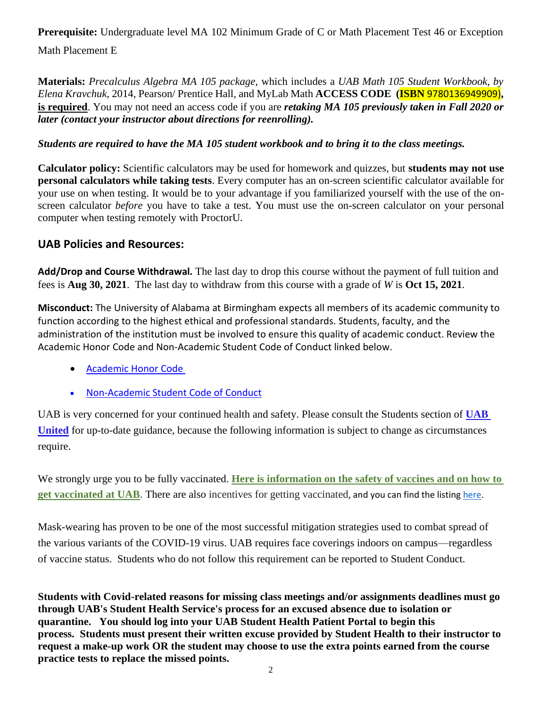**Prerequisite:** Undergraduate level MA 102 Minimum Grade of C or Math Placement Test 46 or Exception

Math Placement E

**Materials:** *Precalculus Algebra MA 105 package,* which includes a *UAB Math 105 Student Workbook, by Elena Kravchuk*, 2014, Pearson/ Prentice Hall, and MyLab Math **ACCESS CODE (ISBN** 9780136949909)**, is required**. You may not need an access code if you are *retaking MA 105 previously taken in Fall 2020 or later (contact your instructor about directions for reenrolling).*

### *Students are required to have the MA 105 student workbook and to bring it to the class meetings.*

**Calculator policy:** Scientific calculators may be used for homework and quizzes, but **students may not use personal calculators while taking tests**. Every computer has an on-screen scientific calculator available for your use on when testing. It would be to your advantage if you familiarized yourself with the use of the onscreen calculator *before* you have to take a test. You must use the on-screen calculator on your personal computer when testing remotely with ProctorU.

### **UAB Policies and Resources:**

**Add/Drop and Course Withdrawal***.* The last day to drop this course without the payment of full tuition and fees is **Aug 30, 2021**. The last day to withdraw from this course with a grade of *W* is **Oct 15, 2021**.

**Misconduct:** The University of Alabama at Birmingham expects all members of its academic community to function according to the highest ethical and professional standards. Students, faculty, and the administration of the institution must be involved to ensure this quality of academic conduct. Review the Academic Honor Code and Non-Academic Student Code of Conduct linked below.

- [Academic Honor Code](http://www.uab.edu/students/one-stop/policies/academic-honor-code)
- [Non-Academic Student Code of Conduct](http://www.uab.edu/studentconduct)

UAB is very concerned for your continued health and safety. Please consult the Students section of **[UAB](https://www.uab.edu/uabunited/)  [United](https://www.uab.edu/uabunited/)** for up-to-date guidance, because the following information is subject to change as circumstances require.

We strongly urge you to be fully vaccinated. **[Here is information on the safety of vaccines and on how to](https://www.uab.edu/uabunited/covid-19-vaccine)  [get vaccinated at UAB](https://www.uab.edu/uabunited/covid-19-vaccine)**. There are also [incentives for getting vaccinated](https://www.uab.edu/students/health/), and you can find the listing [here.](https://click.reach.uab.edu/?qs=47be238f1408a5e9ffc3311090e06944f54ff34b193b549834fd84504dffa3eb264d7c1fe67b78063e67ec1aae795979f6e973ce282a4b60)

Mask-wearing has proven to be one of the most successful mitigation strategies used to combat spread of the various variants of the COVID-19 virus. UAB requires face coverings indoors on campus—regardless of vaccine status. Students who do not follow this requirement can be reported to Student Conduct.

**Students with Covid-related reasons for missing class meetings and/or assignments deadlines must go through UAB's Student Health Service's process for an excused absence due to isolation or quarantine. You should log into your UAB Student Health Patient Portal to begin this process. Students must present their written excuse provided by Student Health to their instructor to request a make-up work OR the student may choose to use the extra points earned from the course practice tests to replace the missed points.**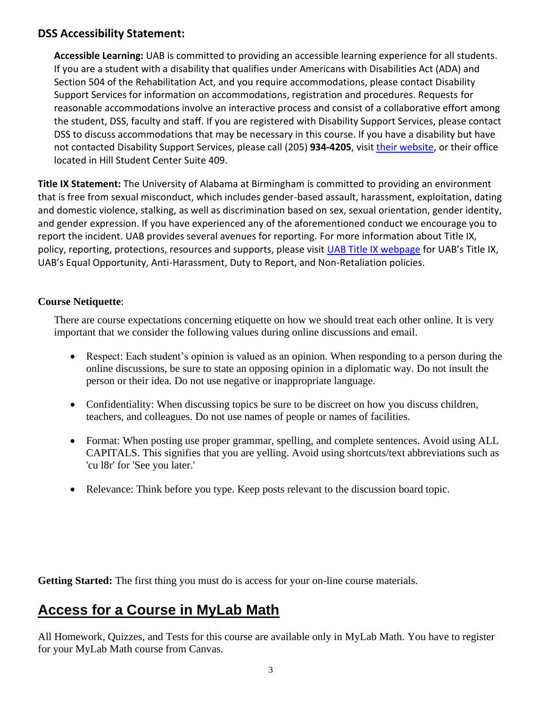### **DSS Accessibility Statement:**

**Accessible Learning:** UAB is committed to providing an accessible learning experience for all students. If you are a student with a disability that qualifies under Americans with Disabilities Act (ADA) and Section 504 of the Rehabilitation Act, and you require accommodations, please contact Disability Support Services for information on accommodations, registration and procedures. Requests for reasonable accommodations involve an interactive process and consist of a collaborative effort among the student, DSS, faculty and staff. If you are registered with Disability Support Services, please contact DSS to discuss accommodations that may be necessary in this course. If you have a disability but have not contacted Disability Support Services, please call (205) **934-4205**, visit [their website,](http://www.uab.edu/dss) or their office located in Hill Student Center Suite 409.

**Title IX Statement:** The University of Alabama at Birmingham is committed to providing an environment that is free from sexual misconduct, which includes gender-based assault, harassment, exploitation, dating and domestic violence, stalking, as well as discrimination based on sex, sexual orientation, gender identity, and gender expression. If you have experienced any of the aforementioned conduct we encourage you to report the incident. UAB provides several avenues for reporting. For more information about Title IX, policy, reporting, protections, resources and supports, please visit [UAB Title IX webpage](http://www.uab.edu/titleix) for UAB's Title IX, UAB's Equal Opportunity, Anti-Harassment, Duty to Report, and Non-Retaliation policies.

#### **Course Netiquette**:

There are course expectations concerning etiquette on how we should treat each other online. It is very important that we consider the following values during online discussions and email.

- Respect: Each student's opinion is valued as an opinion. When responding to a person during the online discussions, be sure to state an opposing opinion in a diplomatic way. Do not insult the person or their idea. Do not use negative or inappropriate language.
- Confidentiality: When discussing topics be sure to be discreet on how you discuss children, teachers, and colleagues. Do not use names of people or names of facilities.
- Format: When posting use proper grammar, spelling, and complete sentences. Avoid using ALL CAPITALS. This signifies that you are yelling. Avoid using shortcuts/text abbreviations such as 'cu l8r' for 'See you later.'
- Relevance: Think before you type. Keep posts relevant to the discussion board topic.

Getting Started: The first thing you must do is access for your on-line course materials.

## **Access for a Course in MyLab Math**

All Homework, Quizzes, and Tests for this course are available only in MyLab Math. You have to register for your MyLab Math course from Canvas.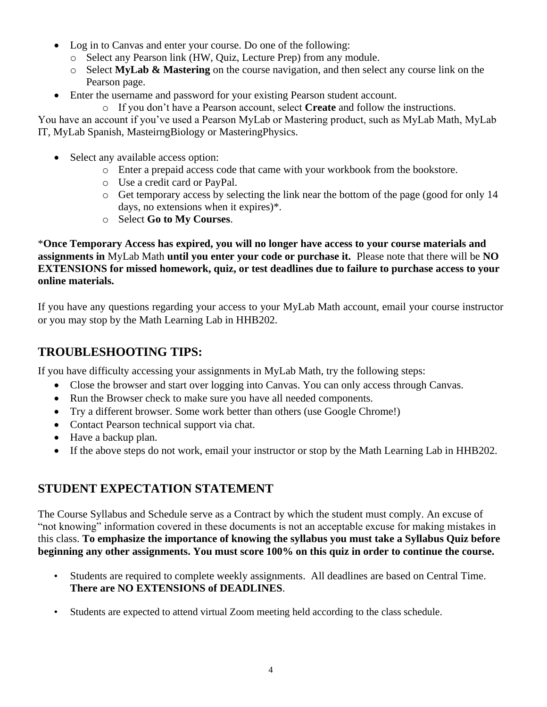- Log in to Canvas and enter your course. Do one of the following:
	- o Select any Pearson link (HW, Quiz, Lecture Prep) from any module.
	- o Select **MyLab & Mastering** on the course navigation, and then select any course link on the Pearson page.
- Enter the username and password for your existing Pearson student account.
	- o If you don't have a Pearson account, select **Create** and follow the instructions.

You have an account if you've used a Pearson MyLab or Mastering product, such as MyLab Math, MyLab IT, MyLab Spanish, MasteirngBiology or MasteringPhysics.

- Select any available access option:
	- o Enter a prepaid access code that came with your workbook from the bookstore.
	- o Use a credit card or PayPal.
	- o Get temporary access by selecting the link near the bottom of the page (good for only 14 days, no extensions when it expires)\*.
	- o Select **Go to My Courses**.

\***Once Temporary Access has expired, you will no longer have access to your course materials and assignments in** MyLab Math **until you enter your code or purchase it.** Please note that there will be **NO EXTENSIONS for missed homework, quiz, or test deadlines due to failure to purchase access to your online materials.**

If you have any questions regarding your access to your MyLab Math account, email your course instructor or you may stop by the Math Learning Lab in HHB202.

### **TROUBLESHOOTING TIPS:**

If you have difficulty accessing your assignments in MyLab Math, try the following steps:

- Close the browser and start over logging into Canvas. You can only access through Canvas.
- Run the Browser check to make sure you have all needed components.
- Try a different browser. Some work better than others (use Google Chrome!)
- Contact Pearson technical support via chat.
- Have a backup plan.
- If the above steps do not work, email your instructor or stop by the Math Learning Lab in HHB202.

### **STUDENT EXPECTATION STATEMENT**

The Course Syllabus and Schedule serve as a Contract by which the student must comply. An excuse of "not knowing" information covered in these documents is not an acceptable excuse for making mistakes in this class. **To emphasize the importance of knowing the syllabus you must take a Syllabus Quiz before beginning any other assignments. You must score 100% on this quiz in order to continue the course.**

- Students are required to complete weekly assignments. All deadlines are based on Central Time. **There are NO EXTENSIONS of DEADLINES**.
- Students are expected to attend virtual Zoom meeting held according to the class schedule.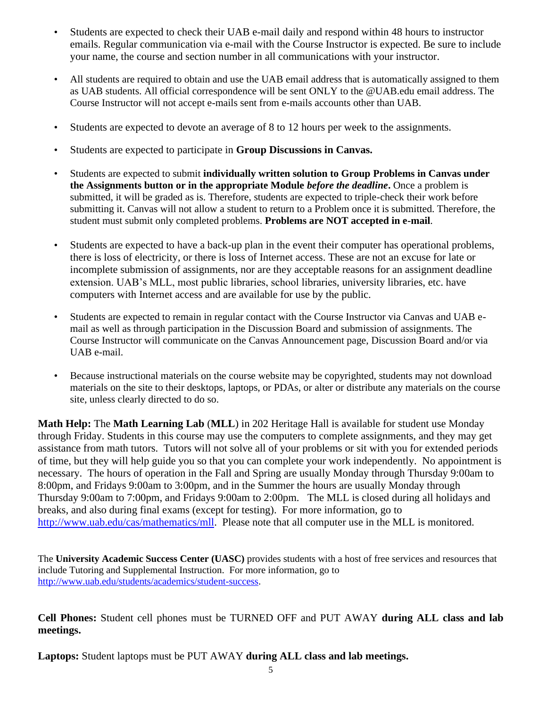- Students are expected to check their UAB e-mail daily and respond within 48 hours to instructor emails. Regular communication via e-mail with the Course Instructor is expected. Be sure to include your name, the course and section number in all communications with your instructor.
- All students are required to obtain and use the UAB email address that is automatically assigned to them as UAB students. All official correspondence will be sent ONLY to the @UAB.edu email address. The Course Instructor will not accept e-mails sent from e-mails accounts other than UAB.
- Students are expected to devote an average of 8 to 12 hours per week to the assignments.
- Students are expected to participate in **Group Discussions in Canvas.**
- Students are expected to submit **individually written solution to Group Problems in Canvas under the Assignments button or in the appropriate Module** *before the deadline***.** Once a problem is submitted, it will be graded as is. Therefore, students are expected to triple-check their work before submitting it. Canvas will not allow a student to return to a Problem once it is submitted. Therefore, the student must submit only completed problems. **Problems are NOT accepted in e-mail**.
- Students are expected to have a back-up plan in the event their computer has operational problems, there is loss of electricity, or there is loss of Internet access. These are not an excuse for late or incomplete submission of assignments, nor are they acceptable reasons for an assignment deadline extension. UAB's MLL, most public libraries, school libraries, university libraries, etc. have computers with Internet access and are available for use by the public.
- Students are expected to remain in regular contact with the Course Instructor via Canvas and UAB email as well as through participation in the Discussion Board and submission of assignments. The Course Instructor will communicate on the Canvas Announcement page, Discussion Board and/or via UAB e-mail.
- Because instructional materials on the course website may be copyrighted, students may not download materials on the site to their desktops, laptops, or PDAs, or alter or distribute any materials on the course site, unless clearly directed to do so.

**Math Help:** The **Math Learning Lab** (**MLL**) in 202 Heritage Hall is available for student use Monday through Friday. Students in this course may use the computers to complete assignments, and they may get assistance from math tutors. Tutors will not solve all of your problems or sit with you for extended periods of time, but they will help guide you so that you can complete your work independently. No appointment is necessary. The hours of operation in the Fall and Spring are usually Monday through Thursday 9:00am to 8:00pm, and Fridays 9:00am to 3:00pm, and in the Summer the hours are usually Monday through Thursday 9:00am to 7:00pm, and Fridays 9:00am to 2:00pm. The MLL is closed during all holidays and breaks, and also during final exams (except for testing). For more information, go to [http://www.uab.edu/cas/mathematics/mll.](http://www.uab.edu/cas/mathematics/mll) Please note that all computer use in the MLL is monitored.

The **University Academic Success Center (UASC)** provides students with a host of free services and resources that include Tutoring and Supplemental Instruction. For more information, go to [http://www.uab.edu/students/academics/student-success.](http://www.uab.edu/students/academics/student-success)

**Cell Phones:** Student cell phones must be TURNED OFF and PUT AWAY **during ALL class and lab meetings.**

**Laptops:** Student laptops must be PUT AWAY **during ALL class and lab meetings.**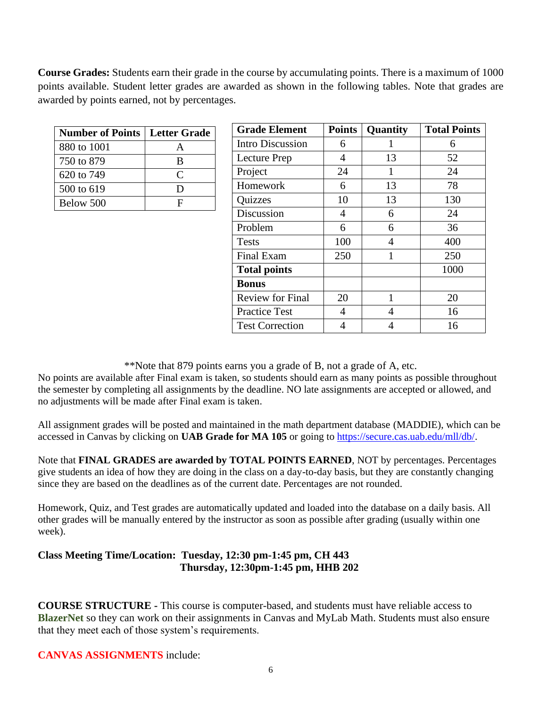**Course Grades:** Students earn their grade in the course by accumulating points. There is a maximum of 1000 points available. Student letter grades are awarded as shown in the following tables. Note that grades are awarded by points earned, not by percentages.

| <b>Number of Points   Letter Grade  </b> |           |  |  |
|------------------------------------------|-----------|--|--|
| 880 to 1001                              |           |  |  |
| 750 to 879                               | B         |  |  |
| 620 to 749                               | $\subset$ |  |  |
| 500 to 619                               | D         |  |  |
| Below 500                                | H         |  |  |

| <b>Grade Element</b>    | <b>Points</b> | Quantity | <b>Total Points</b> |
|-------------------------|---------------|----------|---------------------|
| <b>Intro Discussion</b> | 6             |          | 6                   |
| <b>Lecture Prep</b>     | 4             | 13       | 52                  |
| Project                 | 24            | 1        | 24                  |
| Homework                | 6             | 13       | 78                  |
| Quizzes                 | 10            | 13       | 130                 |
| Discussion              | 4             | 6        | 24                  |
| Problem                 | 6             | 6        | 36                  |
| <b>Tests</b>            | 100           | 4        | 400                 |
| <b>Final Exam</b>       | 250           | 1        | 250                 |
| <b>Total points</b>     |               |          | 1000                |
| <b>Bonus</b>            |               |          |                     |
| <b>Review for Final</b> | 20            | 1        | 20                  |
| <b>Practice Test</b>    | 4             | 4        | 16                  |
| <b>Test Correction</b>  | 4             | 4        | 16                  |

\*\*Note that 879 points earns you a grade of B, not a grade of A, etc.

No points are available after Final exam is taken, so students should earn as many points as possible throughout the semester by completing all assignments by the deadline. NO late assignments are accepted or allowed, and no adjustments will be made after Final exam is taken.

All assignment grades will be posted and maintained in the math department database (MADDIE), which can be accessed in Canvas by clicking on **UAB Grade for MA 105** or going to https://secure.cas.uab.edu/mll/db/.

Note that **FINAL GRADES** are awarded by **TOTAL POINTS EARNED**, NOT by percentages. Percentages give students an idea of how they are doing in the class on a day-to-day basis, but they are constantly changing since they are based on the deadlines as of the current date. Percentages are not rounded.

Homework, Quiz, and Test grades are automatically updated and loaded into the database on a daily basis. All other grades will be manually entered by the instructor as soon as possible after grading (usually within one week).

#### **Class Meeting Time/Location: Tuesday, 12:30 pm-1:45 pm, CH 443 Thursday, 12:30pm-1:45 pm, HHB 202**

**COURSE STRUCTURE -** This course is computer-based, and students must have reliable access to **BlazerNet** so they can work on their assignments in Canvas and MyLab Math. Students must also ensure that they meet each of those system's requirements.

#### **CANVAS ASSIGNMENTS** include: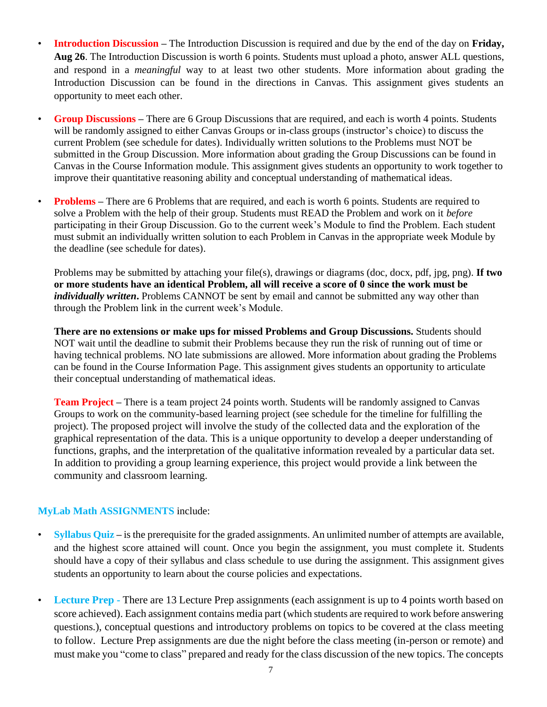- **Introduction Discussion –** The Introduction Discussion is required and due by the end of the day on **Friday, Aug 26**. The Introduction Discussion is worth 6 points. Students must upload a photo, answer ALL questions, and respond in a *meaningful* way to at least two other students. More information about grading the Introduction Discussion can be found in the directions in Canvas. This assignment gives students an opportunity to meet each other.
- **Group Discussions –** There are 6 Group Discussions that are required, and each is worth 4 points. Students will be randomly assigned to either Canvas Groups or in-class groups (instructor's choice) to discuss the current Problem (see schedule for dates). Individually written solutions to the Problems must NOT be submitted in the Group Discussion. More information about grading the Group Discussions can be found in Canvas in the Course Information module. This assignment gives students an opportunity to work together to improve their quantitative reasoning ability and conceptual understanding of mathematical ideas.
- **Problems** There are 6 Problems that are required, and each is worth 6 points. Students are required to solve a Problem with the help of their group. Students must READ the Problem and work on it *before*  participating in their Group Discussion. Go to the current week's Module to find the Problem. Each student must submit an individually written solution to each Problem in Canvas in the appropriate week Module by the deadline (see schedule for dates).

Problems may be submitted by attaching your file(s), drawings or diagrams (doc, docx, pdf, jpg, png). **If two or more students have an identical Problem, all will receive a score of 0 since the work must be**  *individually written*. Problems CANNOT be sent by email and cannot be submitted any way other than through the Problem link in the current week's Module.

**There are no extensions or make ups for missed Problems and Group Discussions.** Students should NOT wait until the deadline to submit their Problems because they run the risk of running out of time or having technical problems. NO late submissions are allowed. More information about grading the Problems can be found in the Course Information Page. This assignment gives students an opportunity to articulate their conceptual understanding of mathematical ideas.

**Team Project –** There is a team project 24 points worth. Students will be randomly assigned to Canvas Groups to work on the community-based learning project (see schedule for the timeline for fulfilling the project). The proposed project will involve the study of the collected data and the exploration of the graphical representation of the data. This is a unique opportunity to develop a deeper understanding of functions, graphs, and the interpretation of the qualitative information revealed by a particular data set. In addition to providing a group learning experience, this project would provide a link between the community and classroom learning.

#### **MyLab Math ASSIGNMENTS** include:

- **Syllabus Quiz** is the prerequisite for the graded assignments. An unlimited number of attempts are available, and the highest score attained will count. Once you begin the assignment, you must complete it. Students should have a copy of their syllabus and class schedule to use during the assignment. This assignment gives students an opportunity to learn about the course policies and expectations.
- **Lecture Prep -** There are 13 Lecture Prep assignments (each assignment is up to 4 points worth based on score achieved). Each assignment contains media part (which students are required to work before answering questions.), conceptual questions and introductory problems on topics to be covered at the class meeting to follow. Lecture Prep assignments are due the night before the class meeting (in-person or remote) and must make you "come to class" prepared and ready for the class discussion of the new topics. The concepts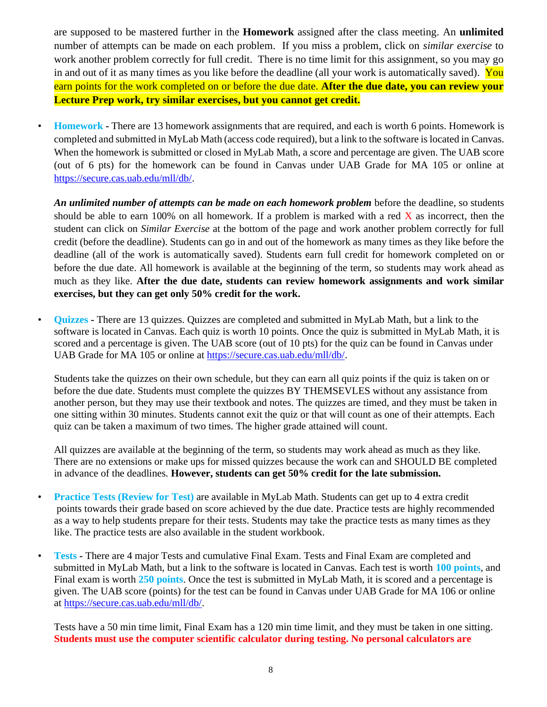are supposed to be mastered further in the **Homework** assigned after the class meeting. An **unlimited** number of attempts can be made on each problem. If you miss a problem, click on *similar exercise* to work another problem correctly for full credit. There is no time limit for this assignment, so you may go in and out of it as many times as you like before the deadline (all your work is automatically saved). You earn points for the work completed on or before the due date. **After the due date, you can review your Lecture Prep work, try similar exercises, but you cannot get credit.**

• **Homework -** There are 13 homework assignments that are required, and each is worth 6 points. Homework is completed and submitted in MyLab Math (access code required), but a link to the software is located in Canvas. When the homework is submitted or closed in MyLab Math, a score and percentage are given. The UAB score (out of 6 pts) for the homework can be found in Canvas under UAB Grade for MA 105 or online at [https://secure.cas.uab.edu/mll/db/.](https://secure.cas.uab.edu/mll/db/)

*An unlimited number of attempts can be made on each homework problem* before the deadline, so students should be able to earn 100% on all homework. If a problem is marked with a red  $\bar{X}$  as incorrect, then the student can click on *Similar Exercise* at the bottom of the page and work another problem correctly for full credit (before the deadline). Students can go in and out of the homework as many times as they like before the deadline (all of the work is automatically saved). Students earn full credit for homework completed on or before the due date. All homework is available at the beginning of the term, so students may work ahead as much as they like. **After the due date, students can review homework assignments and work similar exercises, but they can get only 50% credit for the work.** 

• **Quizzes -** There are 13 quizzes. Quizzes are completed and submitted in MyLab Math, but a link to the software is located in Canvas. Each quiz is worth 10 points. Once the quiz is submitted in MyLab Math, it is scored and a percentage is given. The UAB score (out of 10 pts) for the quiz can be found in Canvas under UAB Grade for MA 105 or online at [https://secure.cas.uab.edu/mll/db/.](https://secure.cas.uab.edu/mll/db/)

Students take the quizzes on their own schedule, but they can earn all quiz points if the quiz is taken on or before the due date. Students must complete the quizzes BY THEMSEVLES without any assistance from another person, but they may use their textbook and notes. The quizzes are timed, and they must be taken in one sitting within 30 minutes. Students cannot exit the quiz or that will count as one of their attempts. Each quiz can be taken a maximum of two times. The higher grade attained will count.

All quizzes are available at the beginning of the term, so students may work ahead as much as they like. There are no extensions or make ups for missed quizzes because the work can and SHOULD BE completed in advance of the deadlines. **However, students can get 50% credit for the late submission.**

- **Practice Tests (Review for Test)** are available in MyLab Math. Students can get up to 4 extra credit points towards their grade based on score achieved by the due date. Practice tests are highly recommended as a way to help students prepare for their tests. Students may take the practice tests as many times as they like. The practice tests are also available in the student workbook.
- **Tests -** There are 4 major Tests and cumulative Final Exam. Tests and Final Exam are completed and submitted in MyLab Math, but a link to the software is located in Canvas. Each test is worth **100 points**, and Final exam is worth **250 points**. Once the test is submitted in MyLab Math, it is scored and a percentage is given. The UAB score (points) for the test can be found in Canvas under UAB Grade for MA 106 or online at https://secure.cas.uab.edu/mll/db/.

Tests have a 50 min time limit, Final Exam has a 120 min time limit, and they must be taken in one sitting. **Students must use the computer scientific calculator during testing. No personal calculators are**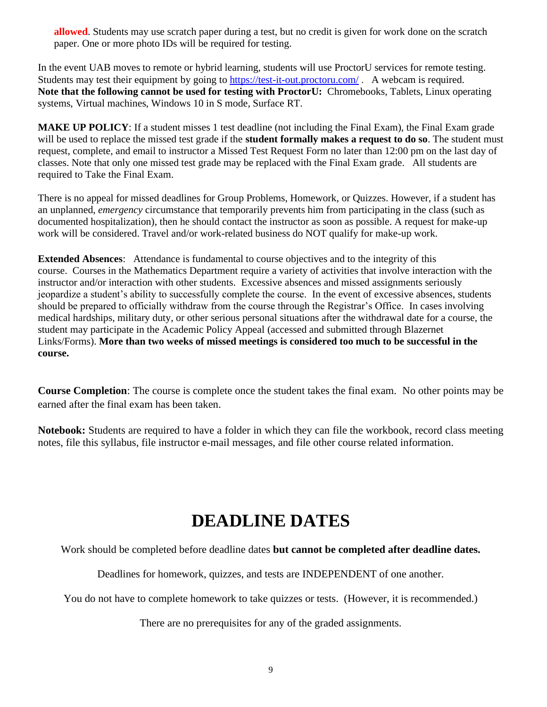**allowed**. Students may use scratch paper during a test, but no credit is given for work done on the scratch paper. One or more photo IDs will be required for testing.

In the event UAB moves to remote or hybrid learning, students will use ProctorU services for remote testing. Students may test their equipment by going to <https://test-it-out.proctoru.com/> . A webcam is required. **Note that the following cannot be used for testing with ProctorU:** Chromebooks, Tablets, Linux operating systems, Virtual machines, Windows 10 in S mode, Surface RT.

**MAKE UP POLICY**: If a student misses 1 test deadline (not including the Final Exam), the Final Exam grade will be used to replace the missed test grade if the **student formally makes a request to do so**. The student must request, complete, and email to instructor a Missed Test Request Form no later than 12:00 pm on the last day of classes. Note that only one missed test grade may be replaced with the Final Exam grade. All students are required to Take the Final Exam.

There is no appeal for missed deadlines for Group Problems, Homework, or Quizzes. However, if a student has an unplanned, *emergency* circumstance that temporarily prevents him from participating in the class (such as documented hospitalization), then he should contact the instructor as soon as possible. A request for make-up work will be considered. Travel and/or work-related business do NOT qualify for make-up work.

**Extended Absences**: Attendance is fundamental to course objectives and to the integrity of this course. Courses in the Mathematics Department require a variety of activities that involve interaction with the instructor and/or interaction with other students. Excessive absences and missed assignments seriously jeopardize a student's ability to successfully complete the course. In the event of excessive absences, students should be prepared to officially withdraw from the course through the Registrar's Office. In cases involving medical hardships, military duty, or other serious personal situations after the withdrawal date for a course, the student may participate in the Academic Policy Appeal (accessed and submitted through Blazernet Links/Forms). **More than two weeks of missed meetings is considered too much to be successful in the course.**

**Course Completion**: The course is complete once the student takes the final exam. No other points may be earned after the final exam has been taken.

**Notebook:** Students are required to have a folder in which they can file the workbook, record class meeting notes, file this syllabus, file instructor e-mail messages, and file other course related information.

# **DEADLINE DATES**

Work should be completed before deadline dates **but cannot be completed after deadline dates.**

Deadlines for homework, quizzes, and tests are INDEPENDENT of one another.

You do not have to complete homework to take quizzes or tests. (However, it is recommended.)

There are no prerequisites for any of the graded assignments.